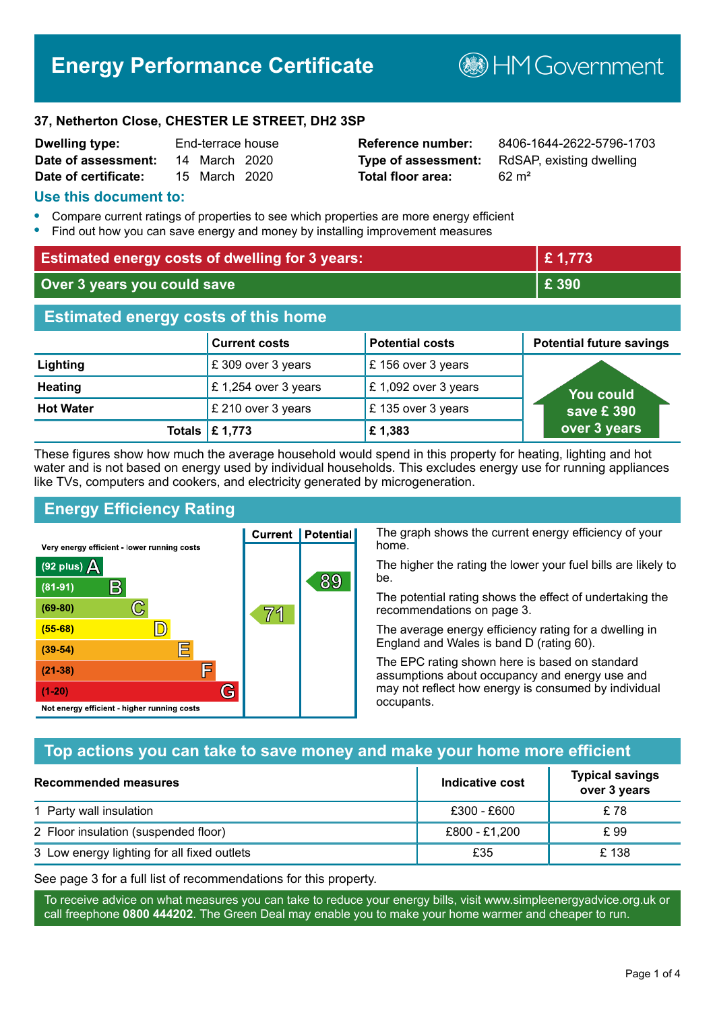## **Energy Performance Certificate**

**B**HM Government

#### **37, Netherton Close, CHESTER LE STREET, DH2 3SP**

| <b>Dwelling type:</b> | End-terrace house |  |
|-----------------------|-------------------|--|
| Date of assessment:   | 14 March 2020     |  |
| Date of certificate:  | 15 March 2020     |  |

# **Total floor area:** 62 m<sup>2</sup>

**Reference number:** 8406-1644-2622-5796-1703 **Type of assessment:** RdSAP, existing dwelling

#### **Use this document to:**

- **•** Compare current ratings of properties to see which properties are more energy efficient
- **•** Find out how you can save energy and money by installing improvement measures

| <b>Estimated energy costs of dwelling for 3 years:</b> |                           | £1,773                 |                                 |
|--------------------------------------------------------|---------------------------|------------------------|---------------------------------|
| Over 3 years you could save                            |                           | £ 390                  |                                 |
| <b>Estimated energy costs of this home</b>             |                           |                        |                                 |
|                                                        | <b>Current costs</b>      | <b>Potential costs</b> | <b>Potential future savings</b> |
| Lighting                                               | £309 over 3 years         | £156 over 3 years      |                                 |
| <b>Heating</b>                                         | £1,254 over 3 years       | £1,092 over 3 years    | You could                       |
| <b>Hot Water</b>                                       | £ 210 over 3 years        | £135 over 3 years      | save £390                       |
|                                                        | Totals $\mathsf{E}$ 1,773 | £1,383                 | over 3 years                    |

These figures show how much the average household would spend in this property for heating, lighting and hot water and is not based on energy used by individual households. This excludes energy use for running appliances like TVs, computers and cookers, and electricity generated by microgeneration.

**Current | Potential** 

71

89

## **Energy Efficiency Rating**

 $\mathbb{C}$ 

 $\mathbb{D}$ 

E

肩

G

Very energy efficient - lower running costs

 $\mathsf{R}% _{T}$ 

Not energy efficient - higher running costs

 $(92$  plus)

 $(81 - 91)$ 

 $(69 - 80)$ 

 $(55-68)$ 

 $(39 - 54)$ 

 $(21-38)$ 

 $(1-20)$ 

- 70

The graph shows the current energy efficiency of your home.

The higher the rating the lower your fuel bills are likely to be.

The potential rating shows the effect of undertaking the recommendations on page 3.

The average energy efficiency rating for a dwelling in England and Wales is band D (rating 60).

The EPC rating shown here is based on standard assumptions about occupancy and energy use and may not reflect how energy is consumed by individual occupants.

## **Top actions you can take to save money and make your home more efficient**

| Recommended measures                        | Indicative cost | <b>Typical savings</b><br>over 3 years |
|---------------------------------------------|-----------------|----------------------------------------|
| 1 Party wall insulation                     | £300 - £600     | £78                                    |
| 2 Floor insulation (suspended floor)        | £800 - £1,200   | £ 99                                   |
| 3 Low energy lighting for all fixed outlets | £35             | £138                                   |

See page 3 for a full list of recommendations for this property.

To receive advice on what measures you can take to reduce your energy bills, visit www.simpleenergyadvice.org.uk or call freephone **0800 444202**. The Green Deal may enable you to make your home warmer and cheaper to run.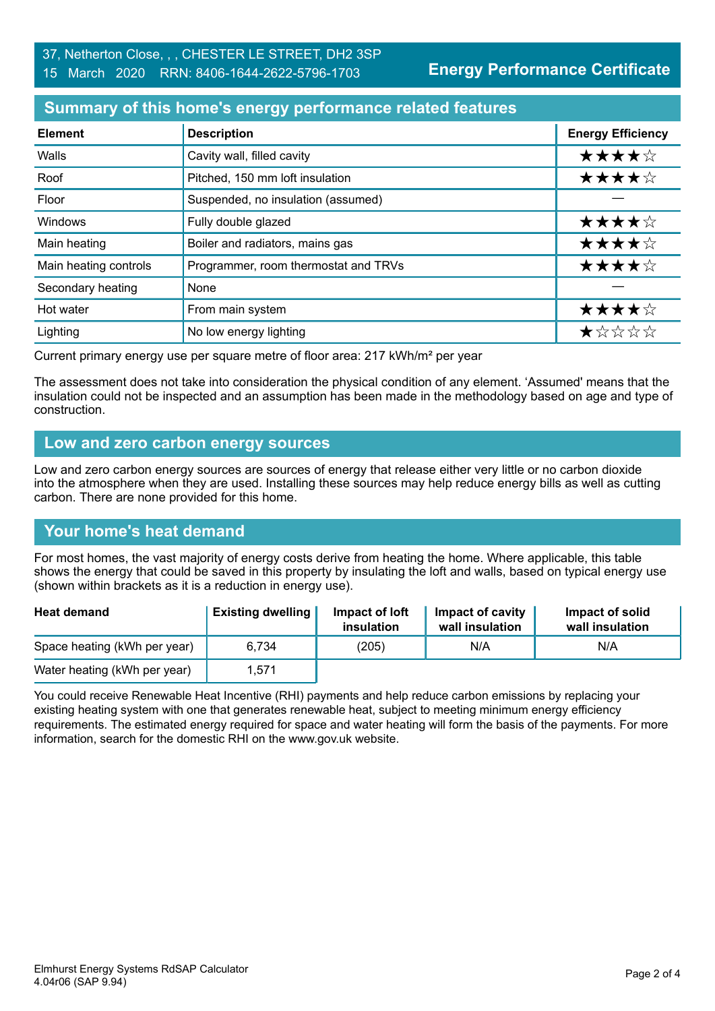**Energy Performance Certificate**

## **Summary of this home's energy performance related features**

| <b>Element</b>        | <b>Description</b>                   | <b>Energy Efficiency</b> |
|-----------------------|--------------------------------------|--------------------------|
| Walls                 | Cavity wall, filled cavity           | ★★★★☆                    |
| Roof                  | Pitched, 150 mm loft insulation      | ★★★★☆                    |
| Floor                 | Suspended, no insulation (assumed)   |                          |
| Windows               | Fully double glazed                  | ★★★★☆                    |
| Main heating          | Boiler and radiators, mains gas      | ★★★★☆                    |
| Main heating controls | Programmer, room thermostat and TRVs | ★★★★☆                    |
| Secondary heating     | None                                 |                          |
| Hot water             | From main system                     | ★★★★☆                    |
| Lighting              | No low energy lighting               | *****                    |

Current primary energy use per square metre of floor area: 217 kWh/m² per year

The assessment does not take into consideration the physical condition of any element. 'Assumed' means that the insulation could not be inspected and an assumption has been made in the methodology based on age and type of construction.

### **Low and zero carbon energy sources**

Low and zero carbon energy sources are sources of energy that release either very little or no carbon dioxide into the atmosphere when they are used. Installing these sources may help reduce energy bills as well as cutting carbon. There are none provided for this home.

## **Your home's heat demand**

For most homes, the vast majority of energy costs derive from heating the home. Where applicable, this table shows the energy that could be saved in this property by insulating the loft and walls, based on typical energy use (shown within brackets as it is a reduction in energy use).

| <b>Heat demand</b>           | <b>Existing dwelling</b> | Impact of loft<br>insulation | Impact of cavity<br>wall insulation | Impact of solid<br>wall insulation |
|------------------------------|--------------------------|------------------------------|-------------------------------------|------------------------------------|
| Space heating (kWh per year) | 6.734                    | (205)                        | N/A                                 | N/A                                |
| Water heating (kWh per year) | 1,571                    |                              |                                     |                                    |

You could receive Renewable Heat Incentive (RHI) payments and help reduce carbon emissions by replacing your existing heating system with one that generates renewable heat, subject to meeting minimum energy efficiency requirements. The estimated energy required for space and water heating will form the basis of the payments. For more information, search for the domestic RHI on the www.gov.uk website.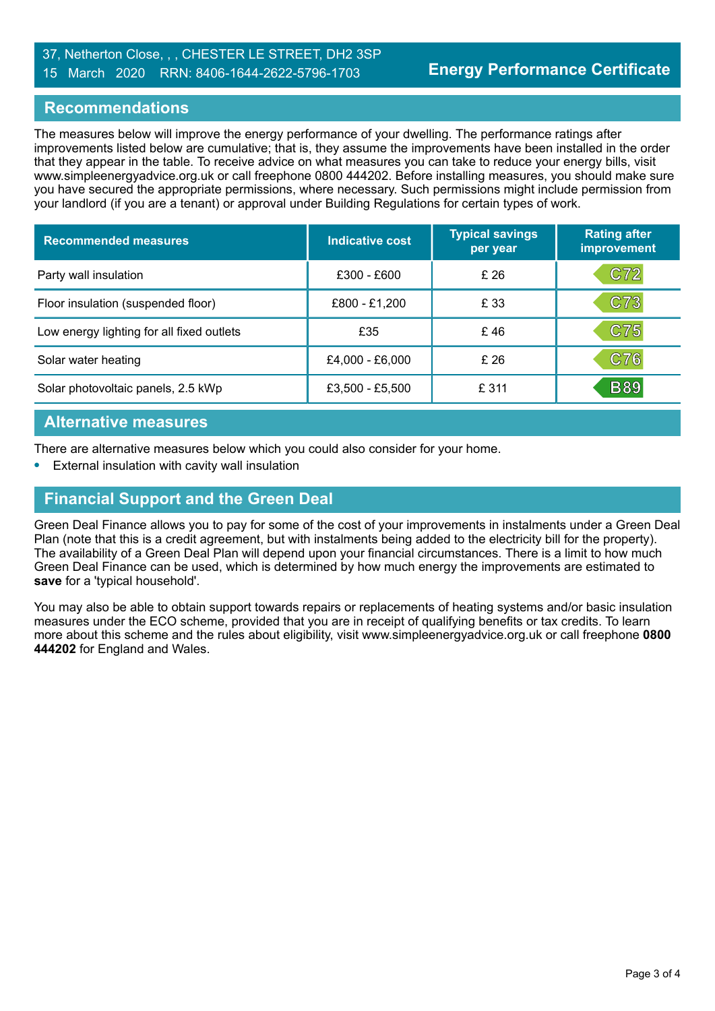## 37, Netherton Close, , , CHESTER LE STREET, DH2 3SP

#### 15 March 2020 RRN: 8406-1644-2622-5796-1703

## **Recommendations**

The measures below will improve the energy performance of your dwelling. The performance ratings after improvements listed below are cumulative; that is, they assume the improvements have been installed in the order that they appear in the table. To receive advice on what measures you can take to reduce your energy bills, visit www.simpleenergyadvice.org.uk or call freephone 0800 444202. Before installing measures, you should make sure you have secured the appropriate permissions, where necessary. Such permissions might include permission from your landlord (if you are a tenant) or approval under Building Regulations for certain types of work.

| <b>Recommended measures</b>               | <b>Indicative cost</b> | <b>Typical savings</b><br>per year | <b>Rating after</b><br>improvement |
|-------------------------------------------|------------------------|------------------------------------|------------------------------------|
| Party wall insulation                     | £300 - £600            | £26                                | C72                                |
| Floor insulation (suspended floor)        | £800 - £1,200          | £ 33                               | C73                                |
| Low energy lighting for all fixed outlets | £35                    | £46                                | C75                                |
| Solar water heating                       | £4,000 - £6,000        | £26                                | C76                                |
| Solar photovoltaic panels, 2.5 kWp        | £3,500 - £5,500        | £ 311                              | <b>B89</b>                         |

### **Alternative measures**

There are alternative measures below which you could also consider for your home.

**•** External insulation with cavity wall insulation

## **Financial Support and the Green Deal**

Green Deal Finance allows you to pay for some of the cost of your improvements in instalments under a Green Deal Plan (note that this is a credit agreement, but with instalments being added to the electricity bill for the property). The availability of a Green Deal Plan will depend upon your financial circumstances. There is a limit to how much Green Deal Finance can be used, which is determined by how much energy the improvements are estimated to **save** for a 'typical household'.

You may also be able to obtain support towards repairs or replacements of heating systems and/or basic insulation measures under the ECO scheme, provided that you are in receipt of qualifying benefits or tax credits. To learn more about this scheme and the rules about eligibility, visit www.simpleenergyadvice.org.uk or call freephone **0800 444202** for England and Wales.